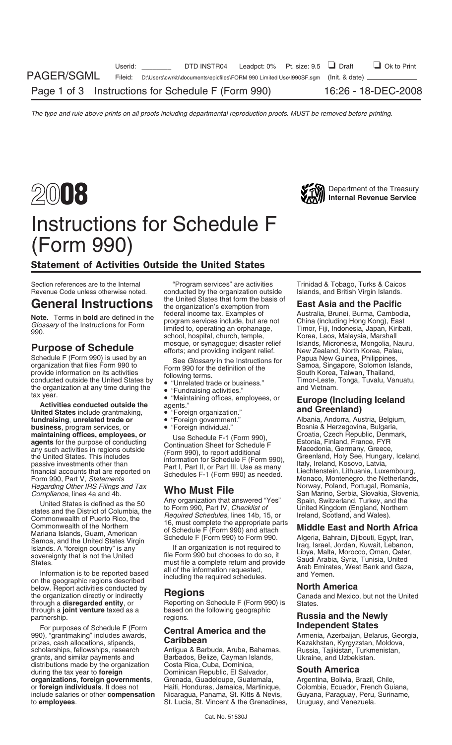



## Instructions for Schedule F (Form 990)

### Statement of Activities Outside the United States

Schedule F (Form 990) is used by an See Glossary in the Instructions for anization that files Form 990 to<br>
provide information on its activities<br>
conducted outside the United States by "Unrelated trade or business."<br>
the o

**Activities conducted outside the** agents."<br> **United States** include grantmaking, <br> **Example 1999 (Includent)**<br> **Indeed States** include grantmaking, <br> **COVECTS:** The "Foreign organization." Albania, Andorra, Austria, Belgi **fundraising, unrelated trade or**  $\bullet$  • "Foreign government." Albania, Andorra, Austria, Belgium, **business**, program services, or  $\bullet$  • "Foreign individual." Bosnia & Herzegovina, Bulgaria, **business**, program services, or **•** "Foreign individual." Bosnia & Herzegovina, Bulgaria,<br> **maintaining offices, employees, or Les Schodule E.1 (Form 990)** Croatia, Czech Republic, Denmark, *Regarding Other IRS Filings and Tax* **Who Must File** Norway, Poland, Portugal, Romania, Compliance, lines 4a and 4b. **Who Must File** San Marino, Serbia, Slovakia, Slover

Mariana Islands, Guam, American<br>
Schedule F (Form 990) to Form 990.<br>
Islands. A "foreign country" is any law if an organization is not required to Iraq, Israel, Jordan, Kuwait, Lebanon,<br>
sovereignty that is not the United

on the geographic regions described<br>below. Report activities conducted by<br>the organization directly or indirectly<br>**Regions Conducted by**<br>Consels and Maxies through a **joint venture** taxed as a based on the partnership.

For purposes of Schedule F (Form **Independent States Independent States**<br>
990), "grantmaking" includes awards, **Caribbean Caribhean** Armenia, Azerbaijan, Belarus, Georgia, <br>
Razakhstan, Kyrgyzstan, Moldova prizes, cash allocations, stipends, **Caribbean** Caribbean Kazakhstan, Kyrgyzstan, Moldova,<br>scholarships, fellowships, research Antigua & Barbuda, Aruba, Bahamas, Russia, Tajikistan, Turkmenistan, scholarships, fellowships, research antigua & Barbuda, Aruba, Bahamas, and Sinistan, Turkmenistan, Turkmenistan, Turkmenistan, Turkmenistan, Turkmenistan, Turkmenistan, Tajikistan, Turkmenistan, Tajikistan, Turkmenistan, T distributions made by the organization during the tax year to **foreign** Dominican Republic, El Salvador, **South America organizations, foreign governments**, Grenada, Guadeloupe, Guatemala, Argentina, Bolivia, Brazil, Chile,<br>or foreign individuals. It does not Haiti, Honduras, Jamaica, Martinique, Colombia, Ecuador, French Guiana, include salaries or other **compensation** Nicaragua, Panama, St. Kitts & Nevis, Guyana, Paraguay, Peru, Suriname, to **employees**. St. Lucia, St. Vincent & the Grenadines,

Section references are to the Internal "Program services" are activities Trinidad & Tobago, Turks & Caicos Revenue Code unless otherwise noted. conducted by the organization outside Islands, and British Virgin Islands.<br>Concorded Islands: The anti-second the United States that form the basis of  $\Box$ General Instructions the organization's exemption from **East Asia and the Pacific**<br>Nata Terma in hald are defined in the federal income tax. Examples of Australia, Brunei, Burma, Cambodia, **Note.** Terms in **bold** are defined in the federal income tax. Examples of Australia, Brunei, Burma, Cambodia, program services include, but are not China (including Hong Kong), East limited to, operating an orphanage, Tim

- 
- 
- 
- 
- 
- 

United States is defined as the 50<br>states and the District of Columbia, the to Form 990, Part IV, Checklist of United Kingdom (England, Northern<br>Commonwealth of Puerto Rico, the Required Schedules, lines 14b, 15, or Irelan

States.<br>
States.<br>
Information is to be reported based<br>
including the required schedules.<br>
States and Yemen.<br>
Arab Emirates, West Bank and Gaza,<br>
and Yemen.<br>
The Termination requested,<br>
and Yemen.

Reporting on Schedule F (Form 990) is States.<br>based on the following geographic

Barbados, Belize, Cayman Islands,<br>Costa Rica, Cuba, Dominica. Haiti, Honduras, Jamaica, Martinique,

**Purpose of Schedule** mosque, or synagogue; disaster relief Islands, Micronesia, Mongolia, Nauru,<br>
Schedule F (Form 990) is used by an See Glossary in the Instructions for Papua New Guinea, Philippines,

maintaining offices, employees, or<br>
agents for the purpose of conducting<br>
any such activities in regions outside<br>
the United States. This includes<br>
passive investments other than<br>
financial accounts that are reported on<br>
F **VIIIO IVILIST FIIE**<br>Any organization that answered "Yes" Spain, Switzerland, Turkey, and the

the organization directly or indirectly **Regions**<br>through a **disregarded entity**, or Reporting on Schedule F (Form 990) is States.

## **Russia and the Newly**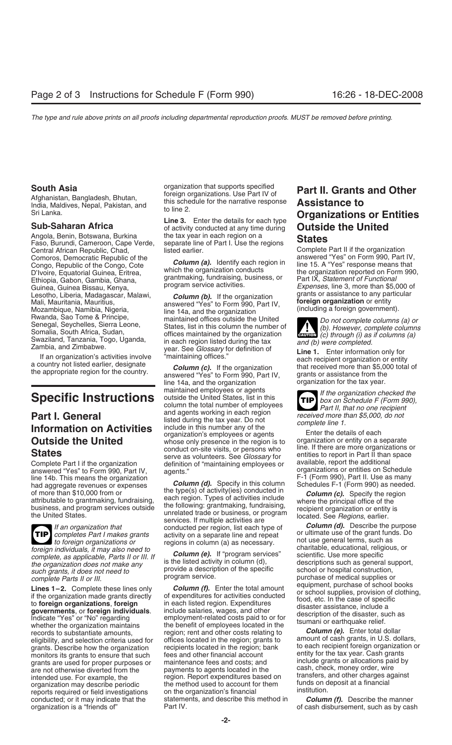India, Maldives, Nepal, Pakistan, and the schedule for the narrative response to the 2.

Central African Republic, Chad, listed earlier.<br>Compros, Democratic Republic of the Contract Complete Part II if the organization Comoros, Democratic Republic of the **Column (a).** Identify each region in answered "Yes" on Form 990, Part IV,<br>Congo, Republic of the Congo, Cote *column (a).* Identify each region in line 15. A "Yes" response means that Congo, Republic of the Congo, Cote **Column (a).** Identity each region in line 15. A "Yes" response means that D'Ivoire, Equatorial Guinea, Eritrea, which the organization conducts the organization reported on Form 990, Eth Guinea, Guinea Bissau, Kenya, *program service activities. Expenses*, line 3, more than \$5,000 of essention by the organization of the system of the service activities. Lesotho, Liberia, Madagascar, Malawi, **Column (b).** If the organization Mali, Mauritania, Mauritius, answered "Yes" to Form 990, Part IV, Mozambique, Namibia, Nigeria, including a foreign **organization** or entity Mozambiqu

answered "Yes" to Form 990, Part IV, agents."<br>
line 14b. This means the organization and in the organization of the organizations or entities on Schedule line 14b. This means the organization  $\frac{Column(d)}{d}$ . Specify in this column Schedules F-1 (Form 990), Part II. Use as many had aggregate revenues or expenses



conducted; or it may indicate that the statements, and describe this method in *organization* is a "*friends of*" Part IV.

**South Asia** organization that supports specified **Part II. Grants and Other**<br>Afghanistan, Bangladesh, Bhutan, foreign organizations. Use Part IV of **Part II. Grants and Other**<br>India Maldives, Nepal Pakistan, and this sche

Angola, Benin, Botswana, Burkina the tax year in each region on a<br>Faso, Burundi, Cameroon, Cape Verde, separate line of Part I. Use the regions **States** 

grantmaking, fundraising, business, or program service activities.

line 14a, and the organization for the tax year.<br>maintained employees or agents for the organization changes of the organization changes Specific Instructions<br>
Example the United States, list in this<br>
column the total number of employees<br>
and agents working in each region<br>
let the organization checked the<br>
part I. General<br>
Senate I, that no one recipient<br>
l **Part I. General** and agents working in each region<br>
listed during the tax year. Do not<br>
listed during the tax year. Do not<br>
organization's employees or agents<br>
Find the details of each<br>
Enter the details of each<br>  $\overline{ }$ **Outside the United** organization's employees or agents<br> **Outside the United** whose only presence in the region is to organization or entity on a separate<br> **Ctates** conduct on-site visits, or persons who line. If there are States<br>States organization serve as volunteers. See *Glossary* for entities to report in Part II than space<br>Complete Part I if the organization definition of "maintaining employees or available, report the additional definition of "maintaining employees or available, report the additional<br>agents." organizations or entities on Schedule

and aggregate revenues or expenses **Column (d).** Specify in this column Schedules F-1 (Form 990) as needed.<br>
of more than \$10,000 from or<br>
attributable to grantmaking, fundraising, the transfer of the the principal office *If an organization that Secrices If multiple activities are Column (d).* Describe the purpose conducted per region, list each type of *Column (d).* Describe the purpose completes Part I makes grants activity on a

monitors its grants to ensure that such fees and other financial account entity for the tax year. Cash grants<br>grants are used for proper purposes or maintenance fees and costs; and include grants or allocations paid by grants are used for proper purposes or includenance fees and costs; and include grants or allocations paid are proper purposes or include grants are not otherwise diverted from the properments to agents located in the cash are not otherwise diverted from the payments to agents located in the cash, check, money order, wire<br>intended use. For example, the region, Report expenditures based on transfers, and other charges against intended use. For example, the region. Report expenditures based on transfers, and other charges a<br>organization may describe periodic the method used to account for them funds on deposit at a financial<br>reports required or reports required or field investigations on the organization's financial institution.<br>conducted; or it may indicate that the statements, and describe this method in **Column (f).** Describe the manner

# to line 2. Sri Lanka. **Organizations or Entities Line 3.** Enter the details for each type **Sub-Saharan Africa** of activity conducted at any time during **Outside the United**

 $\overline{c}$   $\overline{c}$   $\overline{c}$   $\overline{c}$   $\overline{c}$   $\overline{c}$   $\overline{c}$   $\overline{c}$   $\overline{c}$   $\overline{c}$   $\overline{c}$   $\overline{c}$   $\overline{c}$   $\overline{c}$   $\overline{c}$   $\overline{c}$   $\overline{c}$   $\overline{c}$   $\overline{c}$   $\overline{c}$   $\overline{c}$   $\overline{c}$   $\overline{c}$   $\overline{c}$   $\overline{$ 

Swaziland, Tanzania, Togo, Uganda, in each region listed during the tax<br>
Zambia, and Zimbabwe.<br>
If an organization's activities involve "maintaining offices."<br>
If an organization's activities involve "maintaining offices."

**TIP** box on Schedule F (Form 990),

**TIP** completes Part I makes grants or activity on a separate line and repeat or ultimate use of the grant funds. Do regions in column (a) as necessary.<br> *to foreign organizations or* regions in column (a) as necessary. foreign individuals, it may also need to<br>
complete, as applicable, Parts II or III. If<br>
the organization does not make any<br>
to the steerific Use more specific<br>
to descriptions such as general support,<br>
such granits, it doe

records to substantiate amounts, region; rent and other costs relating to **Column (e).** Enter total dollar eligibility, and selection criteria used for offices located in the region; grants to amount of cash grants, in U.S

of cash disbursement, such as by cash